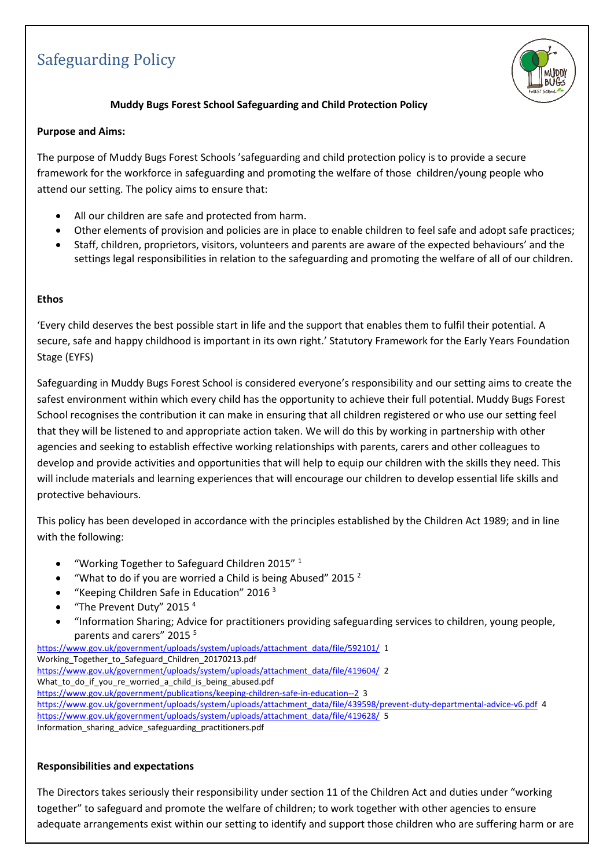# Safeguarding Policy



# **Muddy Bugs Forest School Safeguarding and Child Protection Policy**

#### **Purpose and Aims:**

The purpose of Muddy Bugs Forest Schools 'safeguarding and child protection policy is to provide a secure framework for the workforce in safeguarding and promoting the welfare of those children/young people who attend our setting. The policy aims to ensure that:

- All our children are safe and protected from harm.
- Other elements of provision and policies are in place to enable children to feel safe and adopt safe practices;
- Staff, children, proprietors, visitors, volunteers and parents are aware of the expected behaviours' and the settings legal responsibilities in relation to the safeguarding and promoting the welfare of all of our children.

#### **Ethos**

'Every child deserves the best possible start in life and the support that enables them to fulfil their potential. A secure, safe and happy childhood is important in its own right.' Statutory Framework for the Early Years Foundation Stage (EYFS)

Safeguarding in Muddy Bugs Forest School is considered everyone's responsibility and our setting aims to create the safest environment within which every child has the opportunity to achieve their full potential. Muddy Bugs Forest School recognises the contribution it can make in ensuring that all children registered or who use our setting feel that they will be listened to and appropriate action taken. We will do this by working in partnership with other agencies and seeking to establish effective working relationships with parents, carers and other colleagues to develop and provide activities and opportunities that will help to equip our children with the skills they need. This will include materials and learning experiences that will encourage our children to develop essential life skills and protective behaviours.

This policy has been developed in accordance with the principles established by the Children Act 1989; and in line with the following:

- "Working Together to Safeguard Children 2015" $1$
- "What to do if you are worried a Child is being Abused" 2015  $^2$
- "Keeping Children Safe in Education" 2016 $3$
- "The Prevent Duty" 2015 $4$
- "Information Sharing; Advice for practitioners providing safeguarding services to children, young people, parents and carers" 2015<sup>5</sup>

[https://www.gov.uk/government/uploads/system/uploads/attachment\\_data/file/592101/](https://www.gov.uk/government/uploads/system/uploads/attachment_data/file/592101/) 1 Working\_Together\_to\_Safeguard\_Children\_20170213.pdf [https://www.gov.uk/government/uploads/system/uploads/attachment\\_data/file/419604/](https://www.gov.uk/government/uploads/system/uploads/attachment_data/file/419604/) 2 What\_to\_do\_if\_you\_re\_worried\_a\_child\_is\_being\_abused.pdf <https://www.gov.uk/government/publications/keeping-children-safe-in-education--2> 3 [https://www.gov.uk/government/uploads/system/uploads/attachment\\_data/file/439598/prevent-duty-departmental-advice-v6.pdf](https://www.gov.uk/government/uploads/system/uploads/attachment_data/file/439598/prevent-duty-departmental-advice-v6.pdf) 4 [https://www.gov.uk/government/uploads/system/uploads/attachment\\_data/file/419628/](https://www.gov.uk/government/uploads/system/uploads/attachment_data/file/419628/) 5 Information\_sharing\_advice\_safeguarding\_practitioners.pdf

### **Responsibilities and expectations**

The Directors takes seriously their responsibility under section 11 of the Children Act and duties under "working together" to safeguard and promote the welfare of children; to work together with other agencies to ensure adequate arrangements exist within our setting to identify and support those children who are suffering harm or are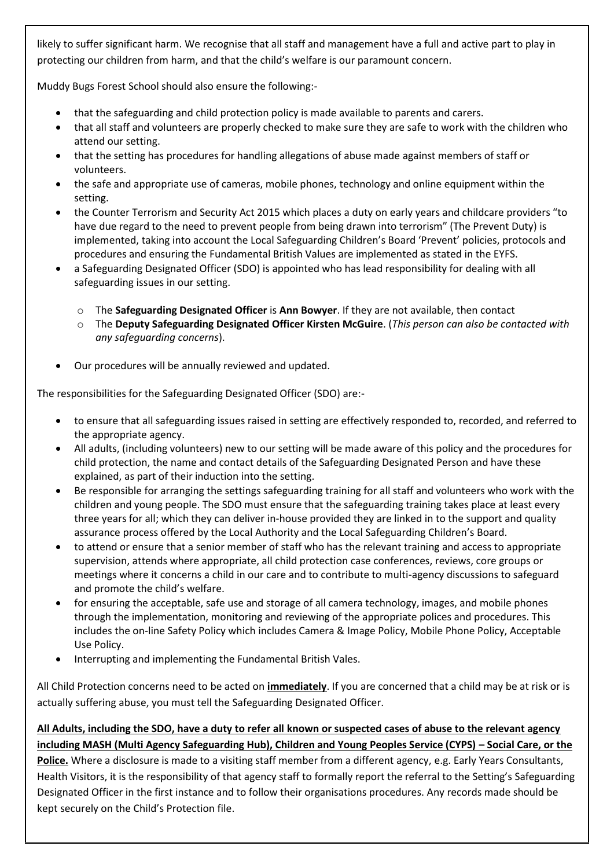likely to suffer significant harm. We recognise that all staff and management have a full and active part to play in protecting our children from harm, and that the child's welfare is our paramount concern.

Muddy Bugs Forest School should also ensure the following:-

- that the safeguarding and child protection policy is made available to parents and carers.
- that all staff and volunteers are properly checked to make sure they are safe to work with the children who attend our setting.
- that the setting has procedures for handling allegations of abuse made against members of staff or volunteers.
- the safe and appropriate use of cameras, mobile phones, technology and online equipment within the setting.
- the Counter Terrorism and Security Act 2015 which places a duty on early years and childcare providers "to have due regard to the need to prevent people from being drawn into terrorism" (The Prevent Duty) is implemented, taking into account the Local Safeguarding Children's Board 'Prevent' policies, protocols and procedures and ensuring the Fundamental British Values are implemented as stated in the EYFS.
- a Safeguarding Designated Officer (SDO) is appointed who has lead responsibility for dealing with all safeguarding issues in our setting.
	- o The **Safeguarding Designated Officer** is **Ann Bowyer**. If they are not available, then contact
	- o The **Deputy Safeguarding Designated Officer Kirsten McGuire**. (*This person can also be contacted with any safeguarding concerns*).
- Our procedures will be annually reviewed and updated.

The responsibilities for the Safeguarding Designated Officer (SDO) are:-

- to ensure that all safeguarding issues raised in setting are effectively responded to, recorded, and referred to the appropriate agency.
- All adults, (including volunteers) new to our setting will be made aware of this policy and the procedures for child protection, the name and contact details of the Safeguarding Designated Person and have these explained, as part of their induction into the setting.
- Be responsible for arranging the settings safeguarding training for all staff and volunteers who work with the children and young people. The SDO must ensure that the safeguarding training takes place at least every three years for all; which they can deliver in-house provided they are linked in to the support and quality assurance process offered by the Local Authority and the Local Safeguarding Children's Board.
- to attend or ensure that a senior member of staff who has the relevant training and access to appropriate supervision, attends where appropriate, all child protection case conferences, reviews, core groups or meetings where it concerns a child in our care and to contribute to multi-agency discussions to safeguard and promote the child's welfare.
- for ensuring the acceptable, safe use and storage of all camera technology, images, and mobile phones through the implementation, monitoring and reviewing of the appropriate polices and procedures. This includes the on-line Safety Policy which includes Camera & Image Policy, Mobile Phone Policy, Acceptable Use Policy.
- Interrupting and implementing the Fundamental British Vales.

All Child Protection concerns need to be acted on **immediately**. If you are concerned that a child may be at risk or is actually suffering abuse, you must tell the Safeguarding Designated Officer.

**All Adults, including the SDO, have a duty to refer all known or suspected cases of abuse to the relevant agency including MASH (Multi Agency Safeguarding Hub), Children and Young Peoples Service (CYPS) – Social Care, or the Police.** Where a disclosure is made to a visiting staff member from a different agency, e.g. Early Years Consultants, Health Visitors, it is the responsibility of that agency staff to formally report the referral to the Setting's Safeguarding Designated Officer in the first instance and to follow their organisations procedures. Any records made should be kept securely on the Child's Protection file.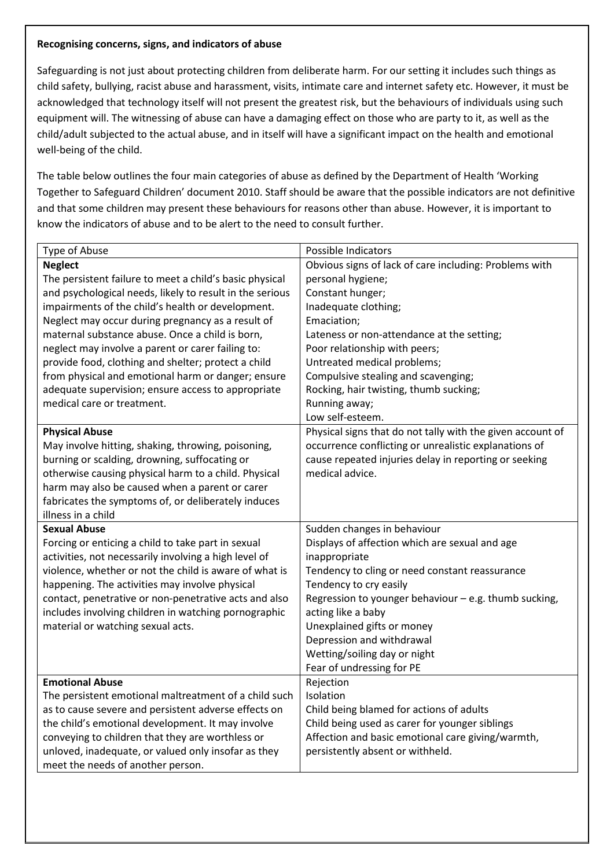#### **Recognising concerns, signs, and indicators of abuse**

Safeguarding is not just about protecting children from deliberate harm. For our setting it includes such things as child safety, bullying, racist abuse and harassment, visits, intimate care and internet safety etc. However, it must be acknowledged that technology itself will not present the greatest risk, but the behaviours of individuals using such equipment will. The witnessing of abuse can have a damaging effect on those who are party to it, as well as the child/adult subjected to the actual abuse, and in itself will have a significant impact on the health and emotional well-being of the child.

The table below outlines the four main categories of abuse as defined by the Department of Health 'Working Together to Safeguard Children' document 2010. Staff should be aware that the possible indicators are not definitive and that some children may present these behaviours for reasons other than abuse. However, it is important to know the indicators of abuse and to be alert to the need to consult further.

| Type of Abuse                                            | Possible Indicators                                        |
|----------------------------------------------------------|------------------------------------------------------------|
| <b>Neglect</b>                                           | Obvious signs of lack of care including: Problems with     |
| The persistent failure to meet a child's basic physical  | personal hygiene;                                          |
| and psychological needs, likely to result in the serious | Constant hunger;                                           |
| impairments of the child's health or development.        | Inadequate clothing;                                       |
| Neglect may occur during pregnancy as a result of        | Emaciation;                                                |
| maternal substance abuse. Once a child is born,          | Lateness or non-attendance at the setting;                 |
| neglect may involve a parent or carer failing to:        | Poor relationship with peers;                              |
| provide food, clothing and shelter; protect a child      | Untreated medical problems;                                |
| from physical and emotional harm or danger; ensure       | Compulsive stealing and scavenging;                        |
| adequate supervision; ensure access to appropriate       | Rocking, hair twisting, thumb sucking;                     |
| medical care or treatment.                               | Running away;                                              |
|                                                          | Low self-esteem.                                           |
| <b>Physical Abuse</b>                                    | Physical signs that do not tally with the given account of |
| May involve hitting, shaking, throwing, poisoning,       | occurrence conflicting or unrealistic explanations of      |
| burning or scalding, drowning, suffocating or            | cause repeated injuries delay in reporting or seeking      |
| otherwise causing physical harm to a child. Physical     | medical advice.                                            |
| harm may also be caused when a parent or carer           |                                                            |
| fabricates the symptoms of, or deliberately induces      |                                                            |
| illness in a child                                       |                                                            |
| <b>Sexual Abuse</b>                                      | Sudden changes in behaviour                                |
| Forcing or enticing a child to take part in sexual       | Displays of affection which are sexual and age             |
| activities, not necessarily involving a high level of    | inappropriate                                              |
| violence, whether or not the child is aware of what is   | Tendency to cling or need constant reassurance             |
| happening. The activities may involve physical           | Tendency to cry easily                                     |
| contact, penetrative or non-penetrative acts and also    | Regression to younger behaviour - e.g. thumb sucking,      |
| includes involving children in watching pornographic     | acting like a baby                                         |
| material or watching sexual acts.                        | Unexplained gifts or money                                 |
|                                                          | Depression and withdrawal                                  |
|                                                          | Wetting/soiling day or night                               |
|                                                          | Fear of undressing for PE                                  |
| <b>Emotional Abuse</b>                                   | Rejection                                                  |
| The persistent emotional maltreatment of a child such    | Isolation                                                  |
| as to cause severe and persistent adverse effects on     | Child being blamed for actions of adults                   |
| the child's emotional development. It may involve        | Child being used as carer for younger siblings             |
| conveying to children that they are worthless or         | Affection and basic emotional care giving/warmth,          |
| unloved, inadequate, or valued only insofar as they      | persistently absent or withheld.                           |
| meet the needs of another person.                        |                                                            |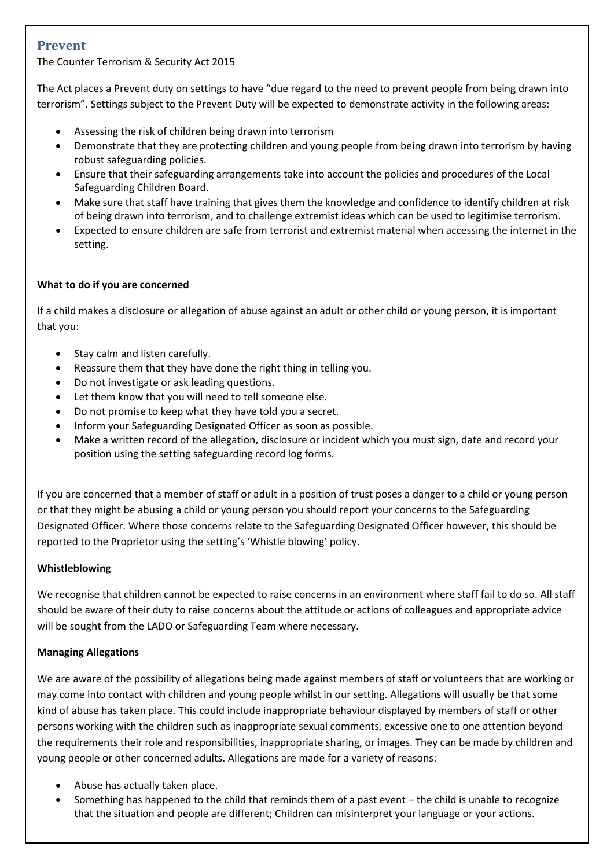# **Prevent**

The Counter Terrorism & Security Act 2015

The Act places a Prevent duty on settings to have "due regard to the need to prevent people from being drawn into terrorism". Settings subject to the Prevent Duty will be expected to demonstrate activity in the following areas:

- Assessing the risk of children being drawn into terrorism
- Demonstrate that they are protecting children and young people from being drawn into terrorism by having robust safeguarding policies.
- Ensure that their safeguarding arrangements take into account the policies and procedures of the Local Safeguarding Children Board.
- Make sure that staff have training that gives them the knowledge and confidence to identify children at risk of being drawn into terrorism, and to challenge extremist ideas which can be used to legitimise terrorism.
- Expected to ensure children are safe from terrorist and extremist material when accessing the internet in the setting.

### **What to do if you are concerned**

If a child makes a disclosure or allegation of abuse against an adult or other child or young person, it is important that you:

- Stay calm and listen carefully.
- Reassure them that they have done the right thing in telling you.
- Do not investigate or ask leading questions.
- Let them know that you will need to tell someone else.
- Do not promise to keep what they have told you a secret.
- Inform your Safeguarding Designated Officer as soon as possible.
- Make a written record of the allegation, disclosure or incident which you must sign, date and record your position using the setting safeguarding record log forms.

If you are concerned that a member of staff or adult in a position of trust poses a danger to a child or young person or that they might be abusing a child or young person you should report your concerns to the Safeguarding Designated Officer. Where those concerns relate to the Safeguarding Designated Officer however, this should be reported to the Proprietor using the setting's 'Whistle blowing' policy.

### **Whistleblowing**

We recognise that children cannot be expected to raise concerns in an environment where staff fail to do so. All staff should be aware of their duty to raise concerns about the attitude or actions of colleagues and appropriate advice will be sought from the LADO or Safeguarding Team where necessary.

### **Managing Allegations**

We are aware of the possibility of allegations being made against members of staff or volunteers that are working or may come into contact with children and young people whilst in our setting. Allegations will usually be that some kind of abuse has taken place. This could include inappropriate behaviour displayed by members of staff or other persons working with the children such as inappropriate sexual comments, excessive one to one attention beyond the requirements their role and responsibilities, inappropriate sharing, or images. They can be made by children and young people or other concerned adults. Allegations are made for a variety of reasons:

- Abuse has actually taken place.
- Something has happened to the child that reminds them of a past event the child is unable to recognize that the situation and people are different; Children can misinterpret your language or your actions.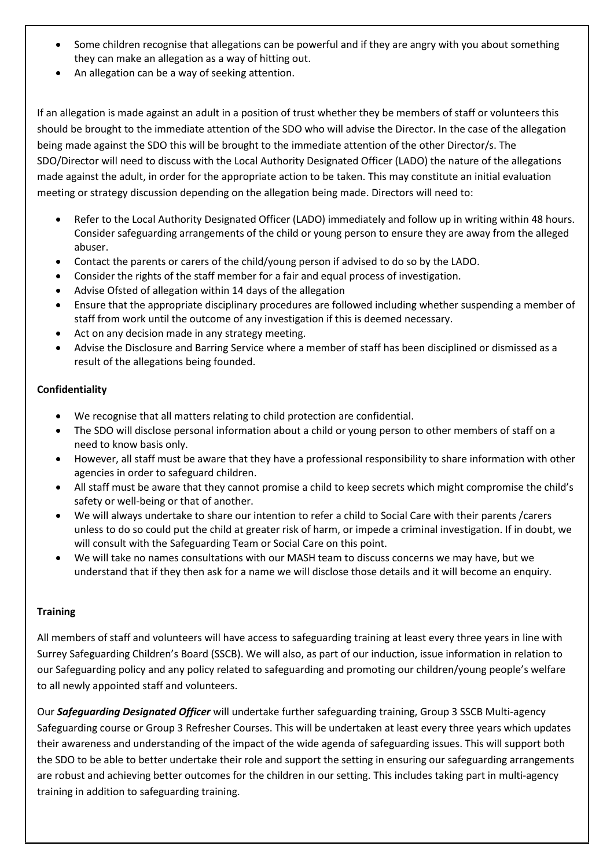- Some children recognise that allegations can be powerful and if they are angry with you about something they can make an allegation as a way of hitting out.
- An allegation can be a way of seeking attention.

If an allegation is made against an adult in a position of trust whether they be members of staff or volunteers this should be brought to the immediate attention of the SDO who will advise the Director. In the case of the allegation being made against the SDO this will be brought to the immediate attention of the other Director/s. The SDO/Director will need to discuss with the Local Authority Designated Officer (LADO) the nature of the allegations made against the adult, in order for the appropriate action to be taken. This may constitute an initial evaluation meeting or strategy discussion depending on the allegation being made. Directors will need to:

- Refer to the Local Authority Designated Officer (LADO) immediately and follow up in writing within 48 hours. Consider safeguarding arrangements of the child or young person to ensure they are away from the alleged abuser.
- Contact the parents or carers of the child/young person if advised to do so by the LADO.
- Consider the rights of the staff member for a fair and equal process of investigation.
- Advise Ofsted of allegation within 14 days of the allegation
- Ensure that the appropriate disciplinary procedures are followed including whether suspending a member of staff from work until the outcome of any investigation if this is deemed necessary.
- Act on any decision made in any strategy meeting.
- Advise the Disclosure and Barring Service where a member of staff has been disciplined or dismissed as a result of the allegations being founded.

### **Confidentiality**

- We recognise that all matters relating to child protection are confidential.
- The SDO will disclose personal information about a child or young person to other members of staff on a need to know basis only.
- However, all staff must be aware that they have a professional responsibility to share information with other agencies in order to safeguard children.
- All staff must be aware that they cannot promise a child to keep secrets which might compromise the child's safety or well-being or that of another.
- We will always undertake to share our intention to refer a child to Social Care with their parents /carers unless to do so could put the child at greater risk of harm, or impede a criminal investigation. If in doubt, we will consult with the Safeguarding Team or Social Care on this point.
- We will take no names consultations with our MASH team to discuss concerns we may have, but we understand that if they then ask for a name we will disclose those details and it will become an enquiry.

### **Training**

All members of staff and volunteers will have access to safeguarding training at least every three years in line with Surrey Safeguarding Children's Board (SSCB). We will also, as part of our induction, issue information in relation to our Safeguarding policy and any policy related to safeguarding and promoting our children/young people's welfare to all newly appointed staff and volunteers.

Our *Safeguarding Designated Officer* will undertake further safeguarding training, Group 3 SSCB Multi-agency Safeguarding course or Group 3 Refresher Courses. This will be undertaken at least every three years which updates their awareness and understanding of the impact of the wide agenda of safeguarding issues. This will support both the SDO to be able to better undertake their role and support the setting in ensuring our safeguarding arrangements are robust and achieving better outcomes for the children in our setting. This includes taking part in multi-agency training in addition to safeguarding training.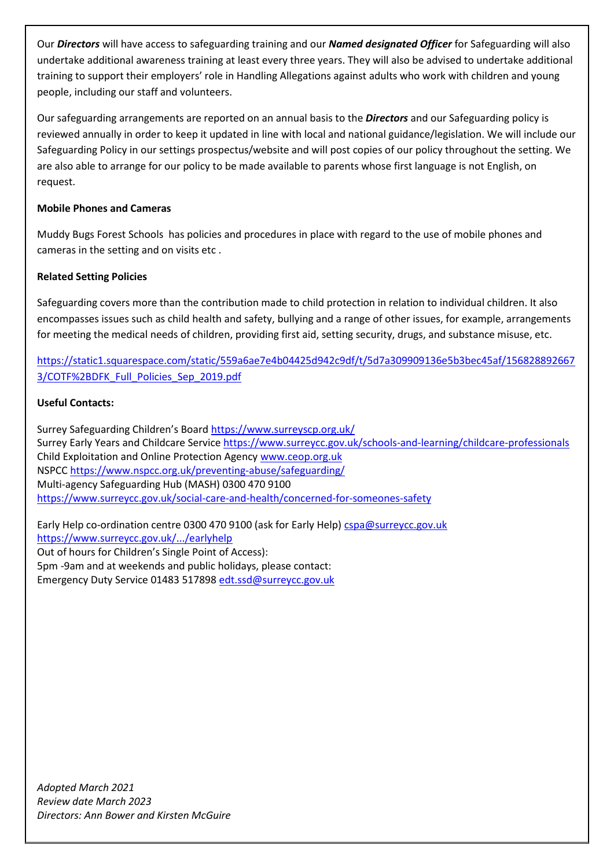Our *Directors* will have access to safeguarding training and our *Named designated Officer* for Safeguarding will also undertake additional awareness training at least every three years. They will also be advised to undertake additional training to support their employers' role in Handling Allegations against adults who work with children and young people, including our staff and volunteers.

Our safeguarding arrangements are reported on an annual basis to the *Directors* and our Safeguarding policy is reviewed annually in order to keep it updated in line with local and national guidance/legislation. We will include our Safeguarding Policy in our settings prospectus/website and will post copies of our policy throughout the setting. We are also able to arrange for our policy to be made available to parents whose first language is not English, on request.

### **Mobile Phones and Cameras**

Muddy Bugs Forest Schools has policies and procedures in place with regard to the use of mobile phones and cameras in the setting and on visits etc .

# **Related Setting Policies**

Safeguarding covers more than the contribution made to child protection in relation to individual children. It also encompasses issues such as child health and safety, bullying and a range of other issues, for example, arrangements for meeting the medical needs of children, providing first aid, setting security, drugs, and substance misuse, etc.

[https://static1.squarespace.com/static/559a6ae7e4b04425d942c9df/t/5d7a309909136e5b3bec45af/156828892667](https://static1.squarespace.com/static/559a6ae7e4b04425d942c9df/t/5d7a309909136e5b3bec45af/1568288926673/COTF%2BDFK_Full_Policies_Sep_2019.pdf) [3/COTF%2BDFK\\_Full\\_Policies\\_Sep\\_2019.pdf](https://static1.squarespace.com/static/559a6ae7e4b04425d942c9df/t/5d7a309909136e5b3bec45af/1568288926673/COTF%2BDFK_Full_Policies_Sep_2019.pdf)

### **Useful Contacts:**

Surrey Safeguarding Children's Board <https://www.surreyscp.org.uk/> Surrey Early Years and Childcare Servic[e https://www.surreycc.gov.uk/schools-and-learning/childcare-professionals](https://www.surreycc.gov.uk/schools-and-learning/childcare-professionals) Child Exploitation and Online Protection Agency [www.ceop.org.uk](http://www.ceop.org.uk/) NSPCC<https://www.nspcc.org.uk/preventing-abuse/safeguarding/> Multi-agency Safeguarding Hub (MASH) 0300 470 9100 <https://www.surreycc.gov.uk/social-care-and-health/concerned-for-someones-safety>

Early Help co-ordination centre 0300 470 9100 (ask for Early Help[\) cspa@surreycc.gov.uk](mailto:cspa@surreycc.gov.uk)  <https://www.surreycc.gov.uk/.../earlyhelp> Out of hours for Children's Single Point of Access): 5pm -9am and at weekends and public holidays, please contact: Emergency Duty Service 01483 517898 [edt.ssd@surreycc.gov.uk](mailto:edt.ssd@surreycc.gov.uk)

*Adopted March 2021 Review date March 2023 Directors: Ann Bower and Kirsten McGuire*